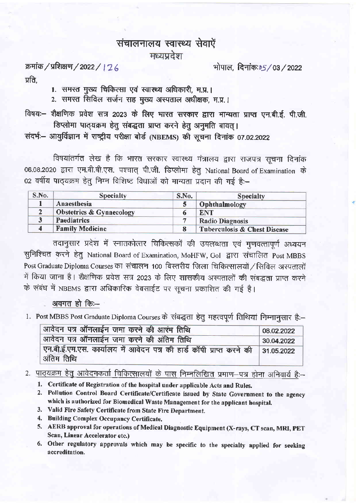## संचालनालय स्वास्थ्य सेवाऐं मध्यप्रदेश

क्रमांक / प्रशिक्षण / 2022 / | 2 6 प्रति.

भोपाल, दिनांकः 65 / 03 / 2022

1. समस्त मुख्य चिकित्सा एवं स्वास्थ्य अधिकारी, म.प्र.।

2. समस्त सिविल सर्जन सह मुख्य अस्पताल अधीक्षक, म.प्र.।

विषयः- शैक्षणिक प्रवेश सत्र 2023 के लिए भारत सरकार द्वारा मान्यता प्राप्त एन.बी.ई. पी.जी. डिप्लोमा पाठ्यक्रम हेतु संबद्धता प्राप्त करने हेतु अनुमति बावत् ।

संदर्भ - आयूर्विज्ञान में राष्ट्रीय परीक्षा बोर्ड (NBEMS) की सचना दिनांक 07.02.2022

विषयांतर्गत लेख है कि भारत सरकार स्वास्थ्य मंत्रालय द्वारा राजपत्र सूचना दिनांक 06.08.2020 द्वारा एम.बी.बी.एस. पश्चात् पी.जी. डिप्लोमा हेतु National Board of Examination के 02 वर्षीय पाठ्यक्रम हेतु निम्न विशिष्ट विधाओं को मान्यता प्रदान की गई है:-

| S.No.       | <b>Specialty</b>                    | S.No. | <b>Specialty</b>                        |  |
|-------------|-------------------------------------|-------|-----------------------------------------|--|
| Anaesthesia |                                     |       | Ophthalmology                           |  |
|             | <b>Obstetrics &amp; Gynaecology</b> |       | <b>ENT</b>                              |  |
|             | <b>Paediatrics</b>                  |       | <b>Radio Diagnosis</b>                  |  |
|             | <b>Family Medicine</b>              |       | <b>Tuberculosis &amp; Chest Disease</b> |  |

तदानुसार प्रदेश में स्नातकोत्तर चिकित्सकों की उपलब्धता एवं गुणवत्तापूर्ण अध्ययन सुनिश्चित करने हेतु National Board of Examination, MoHFW, Gol द्वारा संचालित Post MBBS Post Graduate Diploma Courses का संचालन 100 बिस्तरीय जिला चिकित्सालयों / सिविल अस्पतालों में किया जाना है। शैक्षणिक प्रवेश सत्र 2023 के लिए शासकीय अस्पतालों की संबद्धता प्राप्त करने के संबंध में NBEMS द्वारा अधिकारिक वेबसाईट पर सूचना प्रकाशित की गई है।

## अवगत हो कि:--

1. Post MBBS Post Graduate Diploma Courses के संबद्धता हेतु महत्वपूर्ण तिथियां निम्नानसार है:-

| आवेदन पत्र ऑनलाईन जमा करने की आरंभ तिथि                                                       | 08.02.2022 |
|-----------------------------------------------------------------------------------------------|------------|
| आवेदन पत्र ऑनलाईन जमा करने की अंतिम तिथि                                                      | 30.04.2022 |
| एन.बी.ई.एम.एस. कार्यालय में आवेदन पत्र की हार्ड कॉपी प्राप्त करने की 31.05.2022<br>अंतिम तिथि |            |

## 2. पाठ्यक्रम हेतु आवेदनकर्ता चिकित्सालयों के पास निम्नलिखित प्रमाण-पत्र होना अनिवार्य है:-

- 1. Certificate of Registration of the hospital under applicable Acts and Rules.
- 2. Pollution Control Board Certificate/Certificate issued by State Government to the agency which is authorized for Biomedical Waste Management for the applicant hospital.
- 3. Valid Fire Safety Certificate from State Fire Department.
- 4. Building Complex Occupancy Certificate.
- 5. AERB approval for operations of Medical Diagnostic Equipment (X-rays, CT scan, MRI, PET Scan, Linear Accelerator etc.)
- 6. Other regulatory approvals which may be specific to the specialty applied for seeking accreditation.